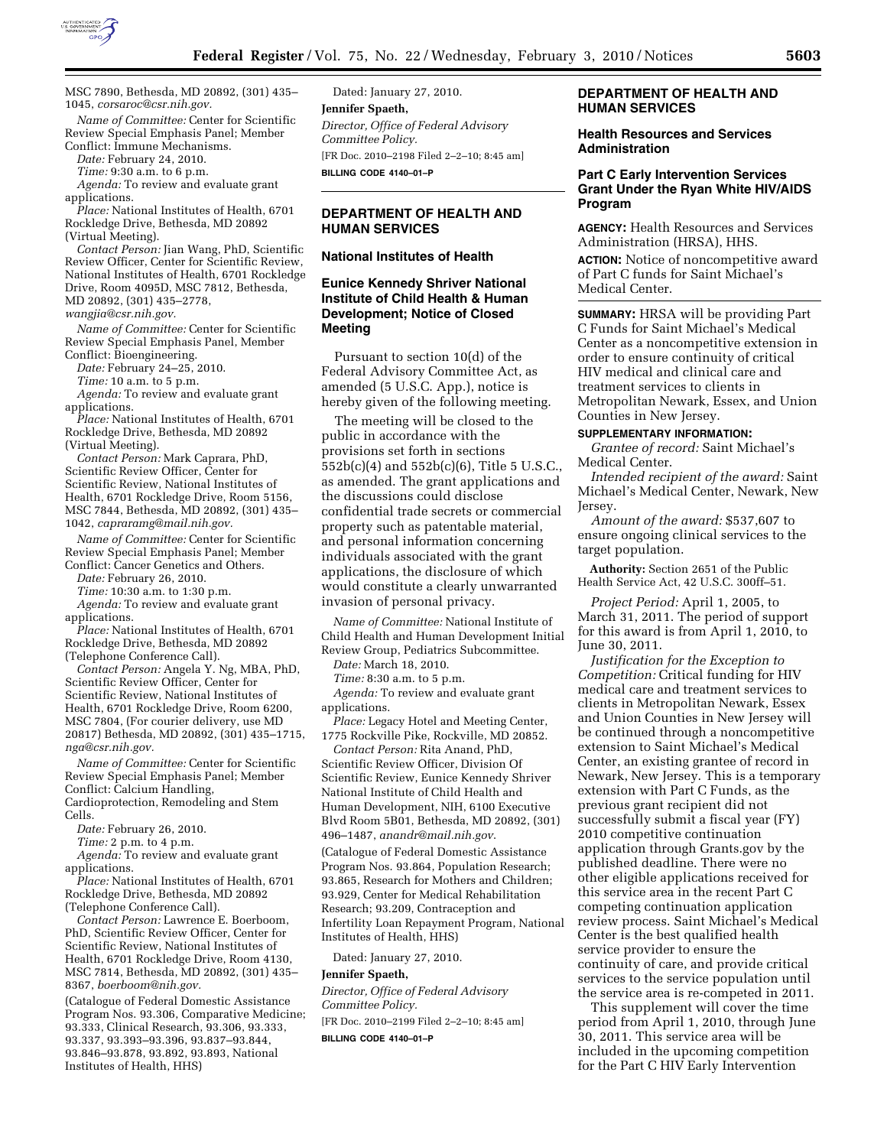

MSC 7890, Bethesda, MD 20892, (301) 435– 1045, *corsaroc@csr.nih.gov.* 

*Name of Committee:* Center for Scientific Review Special Emphasis Panel; Member Conflict: Immune Mechanisms.

*Date:* February 24, 2010.

*Time:* 9:30 a.m. to 6 p.m.

*Agenda:* To review and evaluate grant applications.

*Place:* National Institutes of Health, 6701 Rockledge Drive, Bethesda, MD 20892 (Virtual Meeting).

*Contact Person:* Jian Wang, PhD, Scientific Review Officer, Center for Scientific Review, National Institutes of Health, 6701 Rockledge Drive, Room 4095D, MSC 7812, Bethesda, MD 20892, (301) 435–2778, *wangjia@csr.nih.gov.* 

*Name of Committee:* Center for Scientific Review Special Emphasis Panel, Member Conflict: Bioengineering.

*Date:* February 24–25, 2010.

*Time:* 10 a.m. to 5 p.m.

*Agenda:* To review and evaluate grant

applications. *Place:* National Institutes of Health, 6701 Rockledge Drive, Bethesda, MD 20892

(Virtual Meeting).

*Contact Person:* Mark Caprara, PhD, Scientific Review Officer, Center for Scientific Review, National Institutes of Health, 6701 Rockledge Drive, Room 5156, MSC 7844, Bethesda, MD 20892, (301) 435– 1042, *capraramg@mail.nih.gov.* 

*Name of Committee:* Center for Scientific Review Special Emphasis Panel; Member Conflict: Cancer Genetics and Others.

*Date:* February 26, 2010.

*Time:* 10:30 a.m. to 1:30 p.m.

*Agenda:* To review and evaluate grant applications.

*Place:* National Institutes of Health, 6701 Rockledge Drive, Bethesda, MD 20892 (Telephone Conference Call).

*Contact Person:* Angela Y. Ng, MBA, PhD, Scientific Review Officer, Center for Scientific Review, National Institutes of Health, 6701 Rockledge Drive, Room 6200, MSC 7804, (For courier delivery, use MD 20817) Bethesda, MD 20892, (301) 435–1715, *nga@csr.nih.gov.* 

*Name of Committee:* Center for Scientific Review Special Emphasis Panel; Member Conflict: Calcium Handling,

Cardioprotection, Remodeling and Stem Cells.

*Date:* February 26, 2010.

*Time:* 2 p.m. to 4 p.m.

*Agenda:* To review and evaluate grant applications.

*Place:* National Institutes of Health, 6701 Rockledge Drive, Bethesda, MD 20892 (Telephone Conference Call).

*Contact Person:* Lawrence E. Boerboom, PhD, Scientific Review Officer, Center for Scientific Review, National Institutes of Health, 6701 Rockledge Drive, Room 4130, MSC 7814, Bethesda, MD 20892, (301) 435– 8367, *boerboom@nih.gov.* 

(Catalogue of Federal Domestic Assistance Program Nos. 93.306, Comparative Medicine; 93.333, Clinical Research, 93.306, 93.333, 93.337, 93.393–93.396, 93.837–93.844, 93.846–93.878, 93.892, 93.893, National Institutes of Health, HHS)

Dated: January 27, 2010. **Jennifer Spaeth,**  *Director, Office of Federal Advisory Committee Policy.*  [FR Doc. 2010–2198 Filed 2–2–10; 8:45 am] **BILLING CODE 4140–01–P** 

### **DEPARTMENT OF HEALTH AND HUMAN SERVICES**

#### **National Institutes of Health**

### **Eunice Kennedy Shriver National Institute of Child Health & Human Development; Notice of Closed Meeting**

Pursuant to section 10(d) of the Federal Advisory Committee Act, as amended (5 U.S.C. App.), notice is hereby given of the following meeting.

The meeting will be closed to the public in accordance with the provisions set forth in sections 552b(c)(4) and 552b(c)(6), Title 5 U.S.C., as amended. The grant applications and the discussions could disclose confidential trade secrets or commercial property such as patentable material, and personal information concerning individuals associated with the grant applications, the disclosure of which would constitute a clearly unwarranted invasion of personal privacy.

*Name of Committee:* National Institute of Child Health and Human Development Initial Review Group, Pediatrics Subcommittee.

*Date:* March 18, 2010.

*Time:* 8:30 a.m. to 5 p.m.

*Agenda:* To review and evaluate grant applications.

*Place:* Legacy Hotel and Meeting Center, 1775 Rockville Pike, Rockville, MD 20852.

*Contact Person:* Rita Anand, PhD, Scientific Review Officer, Division Of Scientific Review, Eunice Kennedy Shriver National Institute of Child Health and Human Development, NIH, 6100 Executive Blvd Room 5B01, Bethesda, MD 20892, (301) 496–1487, *anandr@mail.nih.gov*.

(Catalogue of Federal Domestic Assistance Program Nos. 93.864, Population Research; 93.865, Research for Mothers and Children; 93.929, Center for Medical Rehabilitation Research; 93.209, Contraception and Infertility Loan Repayment Program, National Institutes of Health, HHS)

Dated: January 27, 2010.

#### **Jennifer Spaeth,**

*Director, Office of Federal Advisory Committee Policy.* 

[FR Doc. 2010–2199 Filed 2–2–10; 8:45 am]

**BILLING CODE 4140–01–P** 

### **DEPARTMENT OF HEALTH AND HUMAN SERVICES**

**Health Resources and Services Administration** 

#### **Part C Early Intervention Services Grant Under the Ryan White HIV/AIDS Program**

**AGENCY:** Health Resources and Services Administration (HRSA), HHS.

**ACTION:** Notice of noncompetitive award of Part C funds for Saint Michael's Medical Center.

**SUMMARY:** HRSA will be providing Part C Funds for Saint Michael's Medical Center as a noncompetitive extension in order to ensure continuity of critical HIV medical and clinical care and treatment services to clients in Metropolitan Newark, Essex, and Union Counties in New Jersey.

#### **SUPPLEMENTARY INFORMATION:**

*Grantee of record:* Saint Michael's Medical Center.

*Intended recipient of the award:* Saint Michael's Medical Center, Newark, New Jersey.

*Amount of the award:* \$537,607 to ensure ongoing clinical services to the target population.

**Authority:** Section 2651 of the Public Health Service Act, 42 U.S.C. 300ff–51.

*Project Period:* April 1, 2005, to March 31, 2011. The period of support for this award is from April 1, 2010, to June 30, 2011.

*Justification for the Exception to Competition:* Critical funding for HIV medical care and treatment services to clients in Metropolitan Newark, Essex and Union Counties in New Jersey will be continued through a noncompetitive extension to Saint Michael's Medical Center, an existing grantee of record in Newark, New Jersey. This is a temporary extension with Part C Funds, as the previous grant recipient did not successfully submit a fiscal year (FY) 2010 competitive continuation application through Grants.gov by the published deadline. There were no other eligible applications received for this service area in the recent Part C competing continuation application review process. Saint Michael's Medical Center is the best qualified health service provider to ensure the continuity of care, and provide critical services to the service population until the service area is re-competed in 2011.

This supplement will cover the time period from April 1, 2010, through June 30, 2011. This service area will be included in the upcoming competition for the Part C HIV Early Intervention